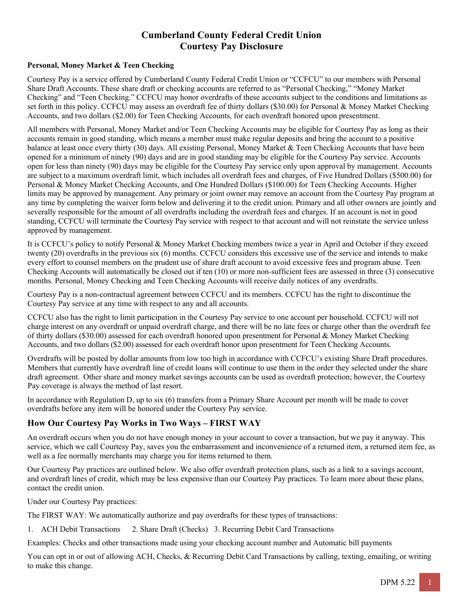# **Cumberland County Federal Credit Union Courtesy Pay Disclosure**

#### **Personal, Money Market & Teen Checking**

Courtesy Pay is a service offered by Cumberland County Federal Credit Union or "CCFCU" to our members with Personal Share Draft Accounts. These share draft or checking accounts are referred to as "Personal Checking," "Money Market Checking" and "Teen Checking." CCFCU may honor overdrafts of these accounts subject to the conditions and limitations as set forth in this policy. CCFCU may assess an overdraft fee of thirty dollars (\$30.00) for Personal & Money Market Checking Accounts, and two dollars (\$2.00) for Teen Checking Accounts, for each overdraft honored upon presentment.

All members with Personal, Money Market and/or Teen Checking Accounts may be eligible for Courtesy Pay as long as their accounts remain in good standing, which means a member must make regular deposits and bring the account to a positive balance at least once every thirty (30) days. All existing Personal, Money Market & Teen Checking Accounts that have been opened for a minimum of ninety (90) days and are in good standing may be eligible for the Courtesy Pay service. Accounts open for less than ninety (90) days may be eligible for the Courtesy Pay service only upon approval by management. Accounts are subject to a maximum overdraft limit, which includes all overdraft fees and charges, of Five Hundred Dollars (\$500.00) for Personal & Money Market Checking Accounts, and One Hundred Dollars (\$100.00) for Teen Checking Accounts. Higher limits may be approved by management. Any primary or joint owner may remove an account from the Courtesy Pay program at any time by completing the waiver form below and delivering it to the credit union. Primary and all other owners are jointly and severally responsible for the amount of all overdrafts including the overdraft fees and charges. If an account is not in good standing, CCFCU will terminate the Courtesy Pay service with respect to that account and will not reinstate the service unless approved by management.

It is CCFCU's policy to notify Personal & Money Market Checking members twice a year in April and October if they exceed twenty (20) overdrafts in the previous six (6) months. CCFCU considers this excessive use of the service and intends to make every effort to counsel members on the prudent use of share draft account to avoid excessive fees and program abuse. Teen Checking Accounts will automatically be closed out if ten (10) or more non-sufficient fees are assessed in three (3) consecutive months. Personal, Money Checking and Teen Checking Accounts will receive daily notices of any overdrafts.

Courtesy Pay is a non-contractual agreement between CCFCU and its members. CCFCU has the right to discontinue the Courtesy Pay service at any time with respect to any and all accounts.

CCFCU also has the right to limit participation in the Courtesy Pay service to one account per household. CCFCU will not charge interest on any overdraft or unpaid overdraft charge, and there will be no late fees or charge other than the overdraft fee of thirty dollars (\$30.00) assessed for each overdraft honored upon presentment for Personal & Money Market Checking Accounts, and two dollars (\$2.00) assessed for each overdraft honor upon presentment for Teen Checking Accounts.

Overdrafts will be posted by dollar amounts from low too high in accordance with CCFCU's existing Share Draft procedures. Members that currently have overdraft line of credit loans will continue to use them in the order they selected under the share draft agreement. Other share and money market savings accounts can be used as overdraft protection; however, the Courtesy Pay coverage is always the method of last resort.

In accordance with Regulation D, up to six (6) transfers from a Primary Share Account per month will be made to cover overdrafts before any item will be honored under the Courtesy Pay service.

#### **How Our Courtesy Pay Works in Two Ways – FIRST WAY**

An overdraft occurs when you do not have enough money in your account to cover a transaction, but we pay it anyway. This service, which we call Courtesy Pay, saves you the embarrassment and inconvenience of a returned item, a returned item fee, as well as a fee normally merchants may charge you for items returned to them.

Our Courtesy Pay practices are outlined below. We also offer overdraft protection plans, such as a link to a savings account, and overdraft lines of credit, which may be less expensive than our Courtesy Pay practices. To learn more about these plans, contact the credit union.

Under our Courtesy Pay practices:

The FIRST WAY: We automatically authorize and pay overdrafts for these types of transactions:

1. ACH Debit Transactions 2. Share Draft (Checks) 3. Recurring Debit Card Transactions

Examples: Checks and other transactions made using your checking account number and Automatic bill payments

You can opt in or out of allowing ACH, Checks, & Recurring Debit Card Transactions by calling, texting, emailing, or writing to make this change.